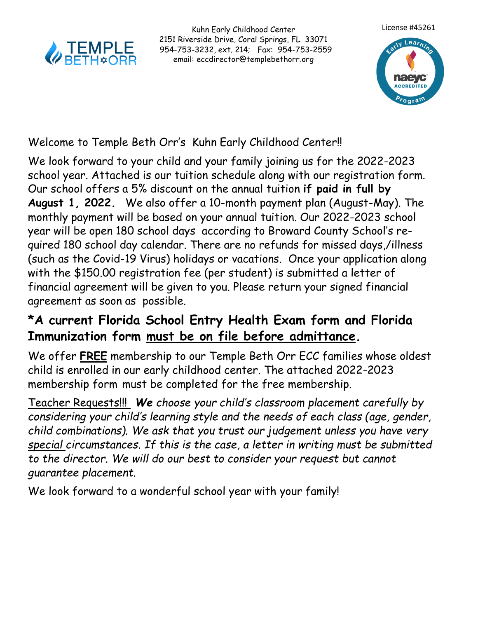

Kuhn Early Childhood Center 2151 Riverside Drive, Coral Springs, FL 33071 954-753-3232, ext. 214; Fax: 954-753-2559 email: eccdirector@templebethorr.org



## Welcome to Temple Beth Orr's Kuhn Early Childhood Center!!

We look forward to your child and your family joining us for the 2022-2023 school year. Attached is our tuition schedule along with our registration form. Our school offers a 5% discount on the annual tuition **if paid in full by August 1, 2022.** We also offer a 10-month payment plan (August-May). The monthly payment will be based on your annual tuition. Our 2022-2023 school year will be open 180 school days according to Broward County School's required 180 school day calendar. There are no refunds for missed days,/illness (such as the Covid-19 Virus) holidays or vacations. Once your application along with the \$150.00 registration fee (per student) is submitted a letter of financial agreement will be given to you. Please return your signed financial agreement as soon as possible.

## **\*A current Florida School Entry Health Exam form and Florida Immunization form must be on file before admittance.**

We offer **FREE** membership to our Temple Beth Orr ECC families whose oldest child is enrolled in our early childhood center. The attached 2022-2023 membership form must be completed for the free membership.

Teacher Requests!!! *We choose your child's classroom placement carefully by considering your child's learning style and the needs of each class (age, gender, child combinations). We ask that you trust our judgement unless you have very special circumstances. If this is the case, a letter in writing must be submitted to the director. We will do our best to consider your request but cannot guarantee placement.* 

We look forward to a wonderful school year with your family!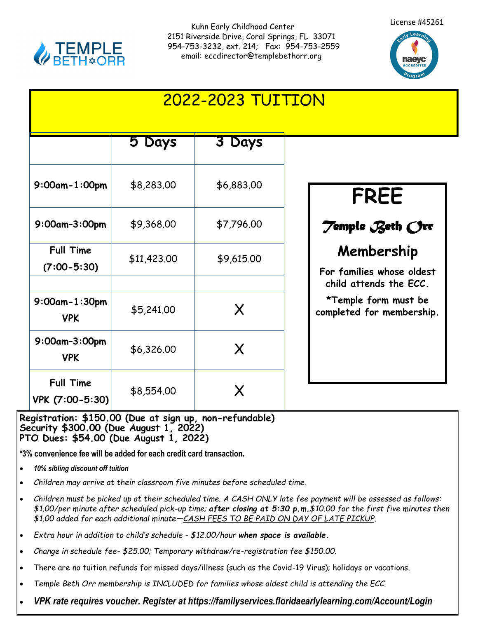

Kuhn Early Childhood Center 2151 Riverside Drive, Coral Springs, FL 33071 954-753-3232, ext. 214; Fax: 954-753-2559 email: eccdirector@templebethorr.org





|                                     |             | <b>2022-2023 TUITION</b> |                                                                             |
|-------------------------------------|-------------|--------------------------|-----------------------------------------------------------------------------|
|                                     | 5 Days      | 3 Days                   |                                                                             |
| $9:00$ am-1:00pm                    | \$8,283.00  | \$6,883.00               | FREE                                                                        |
| 9:00am-3:00pm                       | \$9,368.00  | \$7,796.00               | Temple Beth Orr                                                             |
| <b>Full Time</b><br>$(7:00 - 5:30)$ | \$11,423.00 | \$9,615.00               | Membership<br>For families whose oldest                                     |
| $9:00$ am-1:30pm<br><b>VPK</b>      | \$5,241.00  | X                        | child attends the ECC.<br>*Temple form must be<br>completed for membership. |
| 9:00am-3:00pm<br><b>VPK</b>         | \$6,326.00  | X                        |                                                                             |
| <b>Full Time</b><br>VPK (7:00-5:30) | \$8,554.00  | X                        |                                                                             |

## **Registration: \$150.00 (Due at sign up, non-refundable) Security \$300.00 (Due August 1, 2022) PTO Dues: \$54.00 (Due August 1, 2022)**

**\*3% convenience fee will be added for each credit card transaction.**

- *10% sibling discount off tuition*
- *Children may arrive at their classroom five minutes before scheduled time.*
- *Children must be picked up at their scheduled time. A CASH ONLY late fee payment will be assessed as follows: \$1.00/per minute after scheduled pick-up time; after closing at 5:30 p.m.\$10.00 for the first five minutes then \$1.00 added for each additional minute—CASH FEES TO BE PAID ON DAY OF LATE PICKUP.*
- *Extra hour in addition to child's schedule - \$12.00/hour when space is available.*
- *Change in schedule fee- \$25.00; Temporary withdraw/re-registration fee \$150.00.*
- There are no tuition refunds for missed days/illness (such as the Covid-19 Virus); holidays or vacations.
- *Temple Beth Orr membership is INCLUDED for families whose oldest child is attending the ECC.*
- *VPK rate requires voucher. Register at https://familyservices.floridaearlylearning.com/Account/Login*